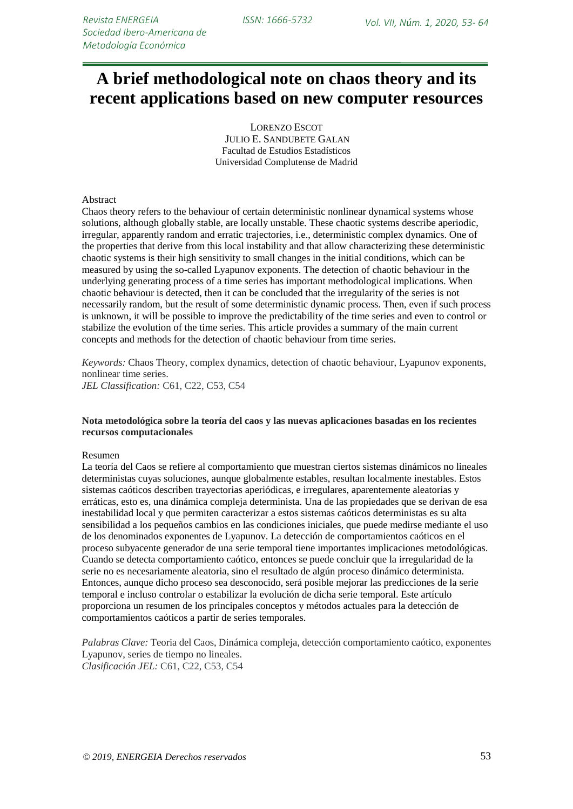# **A brief methodological note on chaos theory and its recent applications based on new computer resources**

LORENZO ESCOT JULIO E. SANDUBETE GALAN Facultad de Estudios Estadísticos Universidad Complutense de Madrid

#### Abstract

Chaos theory refers to the behaviour of certain deterministic nonlinear dynamical systems whose solutions, although globally stable, are locally unstable. These chaotic systems describe aperiodic, irregular, apparently random and erratic trajectories, i.e., deterministic complex dynamics. One of the properties that derive from this local instability and that allow characterizing these deterministic chaotic systems is their high sensitivity to small changes in the initial conditions, which can be measured by using the so-called Lyapunov exponents. The detection of chaotic behaviour in the underlying generating process of a time series has important methodological implications. When chaotic behaviour is detected, then it can be concluded that the irregularity of the series is not necessarily random, but the result of some deterministic dynamic process. Then, even if such process is unknown, it will be possible to improve the predictability of the time series and even to control or stabilize the evolution of the time series. This article provides a summary of the main current concepts and methods for the detection of chaotic behaviour from time series.

*Keywords:* Chaos Theory, complex dynamics, detection of chaotic behaviour, Lyapunov exponents, nonlinear time series. *JEL Classification:* C61, C22, C53, C54

#### **Nota metodológica sobre la teoría del caos y las nuevas aplicaciones basadas en los recientes recursos computacionales**

#### Resumen

La teoría del Caos se refiere al comportamiento que muestran ciertos sistemas dinámicos no lineales deterministas cuyas soluciones, aunque globalmente estables, resultan localmente inestables. Estos sistemas caóticos describen trayectorias aperiódicas, e irregulares, aparentemente aleatorias y erráticas, esto es, una dinámica compleja determinista. Una de las propiedades que se derivan de esa inestabilidad local y que permiten caracterizar a estos sistemas caóticos deterministas es su alta sensibilidad a los pequeños cambios en las condiciones iniciales, que puede medirse mediante el uso de los denominados exponentes de Lyapunov. La detección de comportamientos caóticos en el proceso subyacente generador de una serie temporal tiene importantes implicaciones metodológicas. Cuando se detecta comportamiento caótico, entonces se puede concluir que la irregularidad de la serie no es necesariamente aleatoria, sino el resultado de algún proceso dinámico determinista. Entonces, aunque dicho proceso sea desconocido, será posible mejorar las predicciones de la serie temporal e incluso controlar o estabilizar la evolución de dicha serie temporal. Este artículo proporciona un resumen de los principales conceptos y métodos actuales para la detección de comportamientos caóticos a partir de series temporales.

*Palabras Clave:* Teoria del Caos, Dinámica compleja, detección comportamiento caótico, exponentes Lyapunov, series de tiempo no lineales. *Clasificación JEL:* C61, C22, C53, C54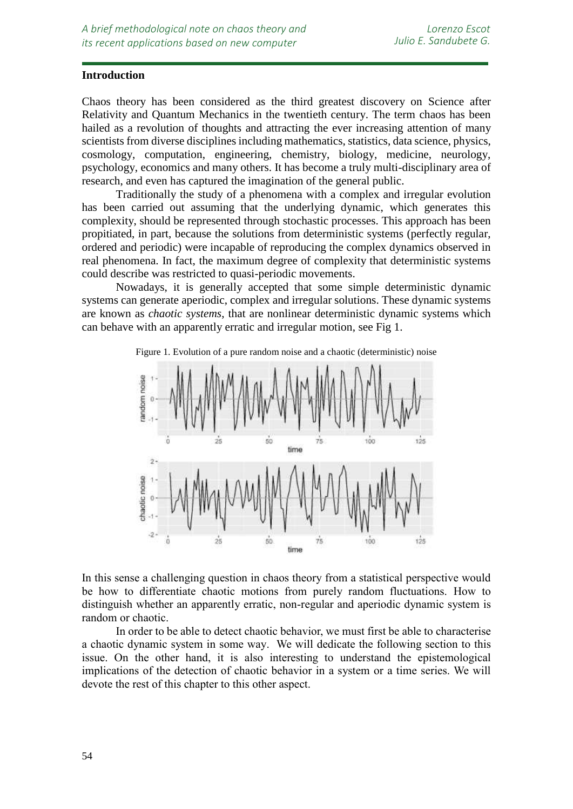## **Introduction**

*resources*

Chaos theory has been considered as the third greatest discovery on Science after Relativity and Quantum Mechanics in the twentieth century. The term chaos has been hailed as a revolution of thoughts and attracting the ever increasing attention of many scientists from diverse disciplines including mathematics, statistics, data science, physics, cosmology, computation, engineering, chemistry, biology, medicine, neurology, psychology, economics and many others. It has become a truly multi-disciplinary area of research, and even has captured the imagination of the general public.

Traditionally the study of a phenomena with a complex and irregular evolution has been carried out assuming that the underlying dynamic, which generates this complexity, should be represented through stochastic processes. This approach has been propitiated, in part, because the solutions from deterministic systems (perfectly regular, ordered and periodic) were incapable of reproducing the complex dynamics observed in real phenomena. In fact, the maximum degree of complexity that deterministic systems could describe was restricted to quasi-periodic movements.

Nowadays, it is generally accepted that some simple deterministic dynamic systems can generate aperiodic, complex and irregular solutions. These dynamic systems are known as *chaotic systems*, that are nonlinear deterministic dynamic systems which can behave with an apparently erratic and irregular motion, see Fig 1.



Figure 1. Evolution of a pure random noise and a chaotic (deterministic) noise

In this sense a challenging question in chaos theory from a statistical perspective would be how to differentiate chaotic motions from purely random fluctuations. How to distinguish whether an apparently erratic, non-regular and aperiodic dynamic system is random or chaotic.

In order to be able to detect chaotic behavior, we must first be able to characterise a chaotic dynamic system in some way. We will dedicate the following section to this issue. On the other hand, it is also interesting to understand the epistemological implications of the detection of chaotic behavior in a system or a time series. We will devote the rest of this chapter to this other aspect.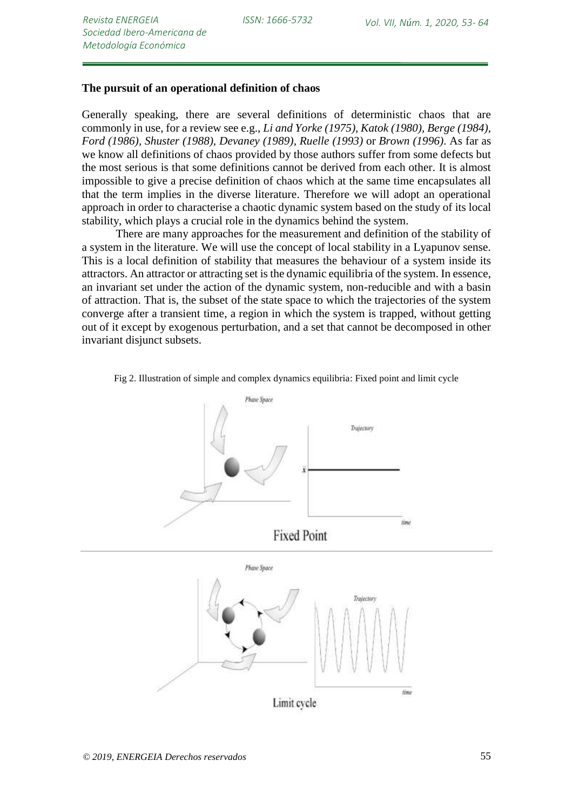### **The pursuit of an operational definition of chaos**

Generally speaking, there are several definitions of deterministic chaos that are commonly in use, for a review see e.g., *Li and Yorke (1975), Katok (1980), Berge (1984), Ford (1986), Shuster (1988), Devaney (1989), Ruelle (1993)* or *Brown (1996)*. As far as we know all definitions of chaos provided by those authors suffer from some defects but the most serious is that some definitions cannot be derived from each other. It is almost impossible to give a precise definition of chaos which at the same time encapsulates all that the term implies in the diverse literature. Therefore we will adopt an operational approach in order to characterise a chaotic dynamic system based on the study of its local stability, which plays a crucial role in the dynamics behind the system.

There are many approaches for the measurement and definition of the stability of a system in the literature. We will use the concept of local stability in a Lyapunov sense. This is a local definition of stability that measures the behaviour of a system inside its attractors. An attractor or attracting set is the dynamic equilibria of the system. In essence, an invariant set under the action of the dynamic system, non-reducible and with a basin of attraction. That is, the subset of the state space to which the trajectories of the system converge after a transient time, a region in which the system is trapped, without getting out of it except by exogenous perturbation, and a set that cannot be decomposed in other invariant disjunct subsets.



Fig 2. Illustration of simple and complex dynamics equilibria: Fixed point and limit cycle

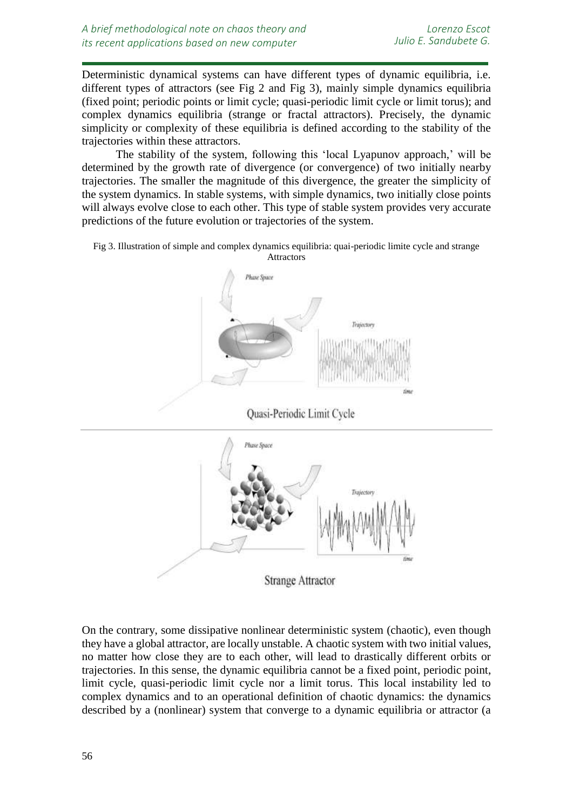Deterministic dynamical systems can have different types of dynamic equilibria, i.e. different types of attractors (see Fig 2 and Fig 3), mainly simple dynamics equilibria (fixed point; periodic points or limit cycle; quasi-periodic limit cycle or limit torus); and complex dynamics equilibria (strange or fractal attractors). Precisely, the dynamic simplicity or complexity of these equilibria is defined according to the stability of the trajectories within these attractors.

The stability of the system, following this 'local Lyapunov approach,' will be determined by the growth rate of divergence (or convergence) of two initially nearby trajectories. The smaller the magnitude of this divergence, the greater the simplicity of the system dynamics. In stable systems, with simple dynamics, two initially close points will always evolve close to each other. This type of stable system provides very accurate predictions of the future evolution or trajectories of the system.

Fig 3. Illustration of simple and complex dynamics equilibria: quai-periodic limite cycle and strange **Attractors** 



Quasi-Periodic Limit Cycle



On the contrary, some dissipative nonlinear deterministic system (chaotic), even though they have a global attractor, are locally unstable. A chaotic system with two initial values, no matter how close they are to each other, will lead to drastically different orbits or trajectories. In this sense, the dynamic equilibria cannot be a fixed point, periodic point, limit cycle, quasi-periodic limit cycle nor a limit torus. This local instability led to complex dynamics and to an operational definition of chaotic dynamics: the dynamics described by a (nonlinear) system that converge to a dynamic equilibria or attractor (a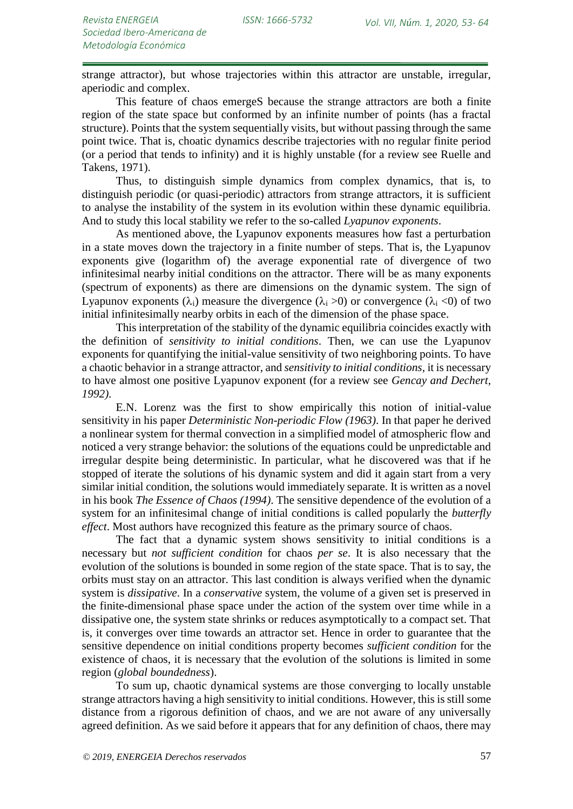strange attractor), but whose trajectories within this attractor are unstable, irregular, aperiodic and complex.

This feature of chaos emergeS because the strange attractors are both a finite region of the state space but conformed by an infinite number of points (has a fractal structure). Points that the system sequentially visits, but without passing through the same point twice. That is, choatic dynamics describe trajectories with no regular finite period (or a period that tends to infinity) and it is highly unstable (for a review see Ruelle and Takens, 1971).

Thus, to distinguish simple dynamics from complex dynamics, that is, to distinguish periodic (or quasi-periodic) attractors from strange attractors, it is sufficient to analyse the instability of the system in its evolution within these dynamic equilibria. And to study this local stability we refer to the so-called *Lyapunov exponents*.

As mentioned above, the Lyapunov exponents measures how fast a perturbation in a state moves down the trajectory in a finite number of steps. That is, the Lyapunov exponents give (logarithm of) the average exponential rate of divergence of two infinitesimal nearby initial conditions on the attractor. There will be as many exponents (spectrum of exponents) as there are dimensions on the dynamic system. The sign of Lyapunov exponents  $(\lambda_i)$  measure the divergence  $(\lambda_i > 0)$  or convergence  $(\lambda_i < 0)$  of two initial infinitesimally nearby orbits in each of the dimension of the phase space.

This interpretation of the stability of the dynamic equilibria coincides exactly with the definition of *sensitivity to initial conditions*. Then, we can use the Lyapunov exponents for quantifying the initial-value sensitivity of two neighboring points. To have a chaotic behavior in a strange attractor, and *sensitivity to initial conditions,* it is necessary to have almost one positive Lyapunov exponent (for a review see *Gencay and Dechert, 1992)*.

E.N. Lorenz was the first to show empirically this notion of initial-value sensitivity in his paper *Deterministic Non-periodic Flow (1963)*. In that paper he derived a nonlinear system for thermal convection in a simplified model of atmospheric flow and noticed a very strange behavior: the solutions of the equations could be unpredictable and irregular despite being deterministic. In particular, what he discovered was that if he stopped of iterate the solutions of his dynamic system and did it again start from a very similar initial condition, the solutions would immediately separate. It is written as a novel in his book *The Essence of Chaos (1994)*. The sensitive dependence of the evolution of a system for an infinitesimal change of initial conditions is called popularly the *butterfly effect*. Most authors have recognized this feature as the primary source of chaos.

The fact that a dynamic system shows sensitivity to initial conditions is a necessary but *not sufficient condition* for chaos *per se*. It is also necessary that the evolution of the solutions is bounded in some region of the state space. That is to say, the orbits must stay on an attractor. This last condition is always verified when the dynamic system is *dissipative*. In a *conservative* system, the volume of a given set is preserved in the finite-dimensional phase space under the action of the system over time while in a dissipative one, the system state shrinks or reduces asymptotically to a compact set. That is, it converges over time towards an attractor set. Hence in order to guarantee that the sensitive dependence on initial conditions property becomes *sufficient condition* for the existence of chaos, it is necessary that the evolution of the solutions is limited in some region (*global boundedness*).

To sum up, chaotic dynamical systems are those converging to locally unstable strange attractors having a high sensitivity to initial conditions. However, this is still some distance from a rigorous definition of chaos, and we are not aware of any universally agreed definition. As we said before it appears that for any definition of chaos, there may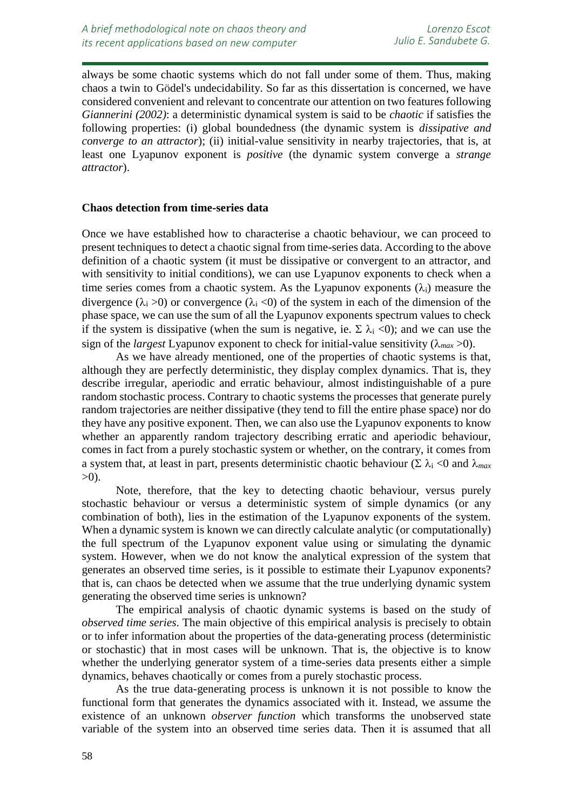always be some chaotic systems which do not fall under some of them. Thus, making chaos a twin to Gödel's undecidability. So far as this dissertation is concerned, we have considered convenient and relevant to concentrate our attention on two features following *Giannerini (2002)*: a deterministic dynamical system is said to be *chaotic* if satisfies the following properties: (i) global boundedness (the dynamic system is *dissipative and converge to an attractor*); (ii) initial-value sensitivity in nearby trajectories, that is, at least one Lyapunov exponent is *positive* (the dynamic system converge a *strange attractor*).

## **Chaos detection from time-series data**

Once we have established how to characterise a chaotic behaviour, we can proceed to present techniques to detect a chaotic signal from time-series data. According to the above definition of a chaotic system (it must be dissipative or convergent to an attractor, and with sensitivity to initial conditions), we can use Lyapunov exponents to check when a time series comes from a chaotic system. As the Lyapunov exponents  $(\lambda_i)$  measure the divergence ( $\lambda_i > 0$ ) or convergence ( $\lambda_i < 0$ ) of the system in each of the dimension of the phase space, we can use the sum of all the Lyapunov exponents spectrum values to check if the system is dissipative (when the sum is negative, ie.  $\Sigma \lambda_i \langle 0 \rangle$ ; and we can use the sign of the *largest* Lyapunov exponent to check for initial-value sensitivity ( $\lambda_{max} > 0$ ).

As we have already mentioned, one of the properties of chaotic systems is that, although they are perfectly deterministic, they display complex dynamics. That is, they describe irregular, aperiodic and erratic behaviour, almost indistinguishable of a pure random stochastic process. Contrary to chaotic systems the processes that generate purely random trajectories are neither dissipative (they tend to fill the entire phase space) nor do they have any positive exponent. Then, we can also use the Lyapunov exponents to know whether an apparently random trajectory describing erratic and aperiodic behaviour, comes in fact from a purely stochastic system or whether, on the contrary, it comes from a system that, at least in part, presents deterministic chaotic behaviour ( $\Sigma \lambda_i$  <0 and  $\lambda_{max}$ )  $>0$ ).

Note, therefore, that the key to detecting chaotic behaviour, versus purely stochastic behaviour or versus a deterministic system of simple dynamics (or any combination of both), lies in the estimation of the Lyapunov exponents of the system. When a dynamic system is known we can directly calculate analytic (or computationally) the full spectrum of the Lyapunov exponent value using or simulating the dynamic system. However, when we do not know the analytical expression of the system that generates an observed time series, is it possible to estimate their Lyapunov exponents? that is, can chaos be detected when we assume that the true underlying dynamic system generating the observed time series is unknown?

The empirical analysis of chaotic dynamic systems is based on the study of *observed time series*. The main objective of this empirical analysis is precisely to obtain or to infer information about the properties of the data-generating process (deterministic or stochastic) that in most cases will be unknown. That is, the objective is to know whether the underlying generator system of a time-series data presents either a simple dynamics, behaves chaotically or comes from a purely stochastic process.

As the true data-generating process is unknown it is not possible to know the functional form that generates the dynamics associated with it. Instead, we assume the existence of an unknown *observer function* which transforms the unobserved state variable of the system into an observed time series data. Then it is assumed that all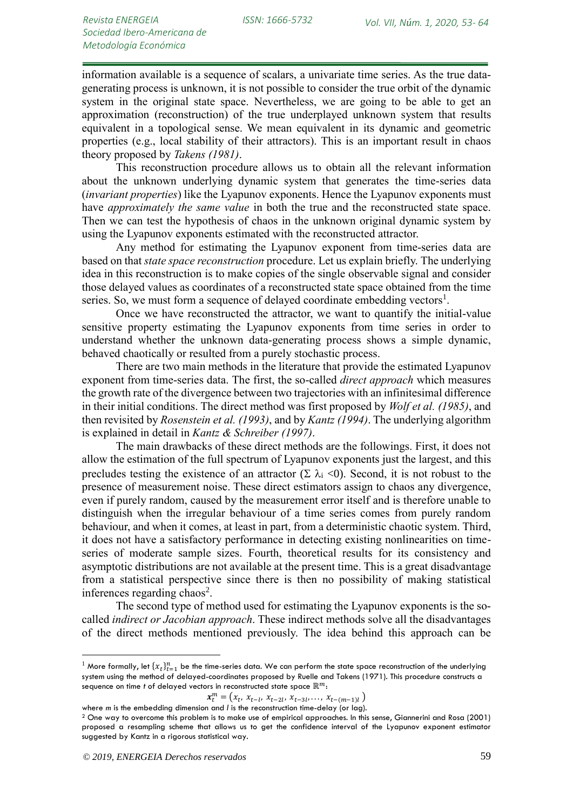information available is a sequence of scalars, a univariate time series. As the true datagenerating process is unknown, it is not possible to consider the true orbit of the dynamic system in the original state space. Nevertheless, we are going to be able to get an approximation (reconstruction) of the true underplayed unknown system that results equivalent in a topological sense. We mean equivalent in its dynamic and geometric properties (e.g., local stability of their attractors). This is an important result in chaos theory proposed by *Takens (1981)*.

This reconstruction procedure allows us to obtain all the relevant information about the unknown underlying dynamic system that generates the time-series data (*invariant properties*) like the Lyapunov exponents. Hence the Lyapunov exponents must have *approximately the same value* in both the true and the reconstructed state space. Then we can test the hypothesis of chaos in the unknown original dynamic system by using the Lyapunov exponents estimated with the reconstructed attractor.

Any method for estimating the Lyapunov exponent from time-series data are based on that *state space reconstruction* procedure. Let us explain briefly. The underlying idea in this reconstruction is to make copies of the single observable signal and consider those delayed values as coordinates of a reconstructed state space obtained from the time series. So, we must form a sequence of delayed coordinate embedding vectors<sup>1</sup>.

Once we have reconstructed the attractor, we want to quantify the initial-value sensitive property estimating the Lyapunov exponents from time series in order to understand whether the unknown data-generating process shows a simple dynamic, behaved chaotically or resulted from a purely stochastic process.

There are two main methods in the literature that provide the estimated Lyapunov exponent from time-series data. The first, the so-called *direct approach* which measures the growth rate of the divergence between two trajectories with an infinitesimal difference in their initial conditions. The direct method was first proposed by *Wolf et al. (1985)*, and then revisited by *Rosenstein et al. (1993)*, and by *Kantz (1994)*. The underlying algorithm is explained in detail in *Kantz & Schreiber (1997)*.

The main drawbacks of these direct methods are the followings. First, it does not allow the estimation of the full spectrum of Lyapunov exponents just the largest, and this precludes testing the existence of an attractor  $(\Sigma \lambda_i \langle 0)$ . Second, it is not robust to the presence of measurement noise. These direct estimators assign to chaos any divergence, even if purely random, caused by the measurement error itself and is therefore unable to distinguish when the irregular behaviour of a time series comes from purely random behaviour, and when it comes, at least in part, from a deterministic chaotic system. Third, it does not have a satisfactory performance in detecting existing nonlinearities on timeseries of moderate sample sizes. Fourth, theoretical results for its consistency and asymptotic distributions are not available at the present time. This is a great disadvantage from a statistical perspective since there is then no possibility of making statistical inferences regarding chaos<sup>2</sup>.

The second type of method used for estimating the Lyapunov exponents is the socalled *indirect or Jacobian approach*. These indirect methods solve all the disadvantages of the direct methods mentioned previously. The idea behind this approach can be

<u>.</u>

 $^1$  More formally, let  $\{\chi_t\}_{t=1}^n$  be the time-series data. We can perform the state space reconstruction of the underlying system using the method of delayed-coordinates proposed by Ruelle and Takens (1971). This procedure constructs a sequence on time *t* of delayed vectors in reconstructed state space  $\mathbb{R}^m$ :

 $x_t^m = (x_t, x_{t-l}, x_{t-2l}, x_{t-3l}, \ldots, x_{t-(m-1)l})$ 

where *m* is the embedding dimension and *l* is the reconstruction time-delay (or lag).

<sup>2</sup> One way to overcome this problem is to make use of empirical approaches. In this sense, Giannerini and Rosa (2001) proposed a resampling scheme that allows us to get the confidence interval of the Lyapunov exponent estimator suggested by Kantz in a rigorous statistical way.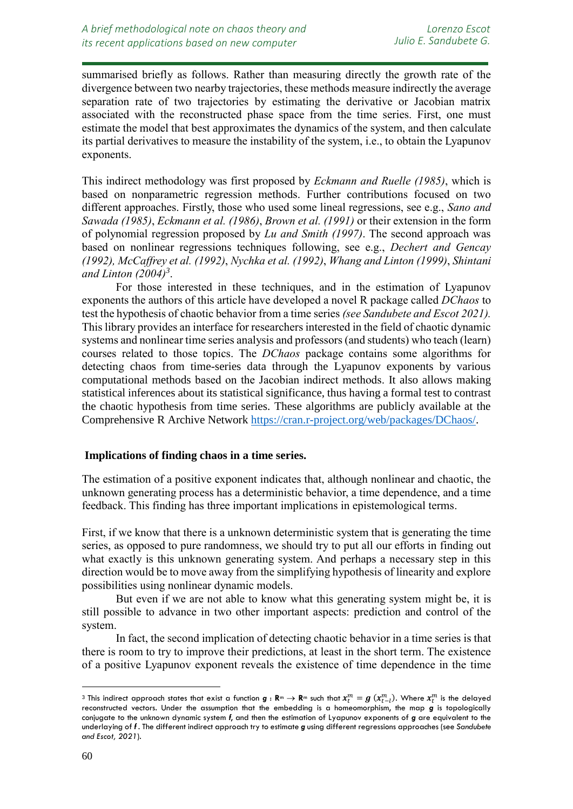summarised briefly as follows. Rather than measuring directly the growth rate of the divergence between two nearby trajectories, these methods measure indirectly the average separation rate of two trajectories by estimating the derivative or Jacobian matrix associated with the reconstructed phase space from the time series. First, one must estimate the model that best approximates the dynamics of the system, and then calculate its partial derivatives to measure the instability of the system, i.e., to obtain the Lyapunov exponents.

This indirect methodology was first proposed by *Eckmann and Ruelle (1985)*, which is based on nonparametric regression methods. Further contributions focused on two different approaches. Firstly, those who used some lineal regressions, see e.g., *Sano and Sawada (1985)*, *Eckmann et al. (1986)*, *Brown et al. (1991)* or their extension in the form of polynomial regression proposed by *Lu and Smith (1997)*. The second approach was based on nonlinear regressions techniques following, see e.g., *Dechert and Gencay (1992), McCaffrey et al. (1992)*, *Nychka et al. (1992)*, *Whang and Linton (1999)*, *Shintani and Linton (2004)<sup>3</sup>* .

For those interested in these techniques, and in the estimation of Lyapunov exponents the authors of this article have developed a novel R package called *DChaos* to test the hypothesis of chaotic behavior from a time series *(see Sandubete and Escot 2021).* This library provides an interface for researchers interested in the field of chaotic dynamic systems and nonlinear time series analysis and professors (and students) who teach (learn) courses related to those topics. The *DChaos* package contains some algorithms for detecting chaos from time-series data through the Lyapunov exponents by various computational methods based on the Jacobian indirect methods. It also allows making statistical inferences about its statistical significance, thus having a formal test to contrast the chaotic hypothesis from time series. These algorithms are publicly available at the Comprehensive R Archive Network [https://cran.r-project.org/web/packages/DChaos/.](https://cran.r-project.org/web/packages/DChaos/)

## **Implications of finding chaos in a time series.**

The estimation of a positive exponent indicates that, although nonlinear and chaotic, the unknown generating process has a deterministic behavior, a time dependence, and a time feedback. This finding has three important implications in epistemological terms.

First, if we know that there is a unknown deterministic system that is generating the time series, as opposed to pure randomness, we should try to put all our efforts in finding out what exactly is this unknown generating system. And perhaps a necessary step in this direction would be to move away from the simplifying hypothesis of linearity and explore possibilities using nonlinear dynamic models.

But even if we are not able to know what this generating system might be, it is still possible to advance in two other important aspects: prediction and control of the system.

In fact, the second implication of detecting chaotic behavior in a time series is that there is room to try to improve their predictions, at least in the short term. The existence of a positive Lyapunov exponent reveals the existence of time dependence in the time

<u>.</u>

 $^3$  This indirect approach states that exist a function  $\bm{g}:\bm{\mathsf{R}}^m\to\bm{\mathsf{R}}^m$  such that  $x_t^m=g$   $(x_{t-l}^m).$  Where  $x_t^m$  is the delayed reconstructed vectors. Under the assumption that the embedding is a homeomorphism, the map *g* is topologically conjugate to the unknown dynamic system *f*, and then the estimation of Lyapunov exponents of *g* are equivalent to the underlaying of *f* . The different indirect approach try to estimate *g* using different regressions approaches (see *Sandubete and Escot, 2021*).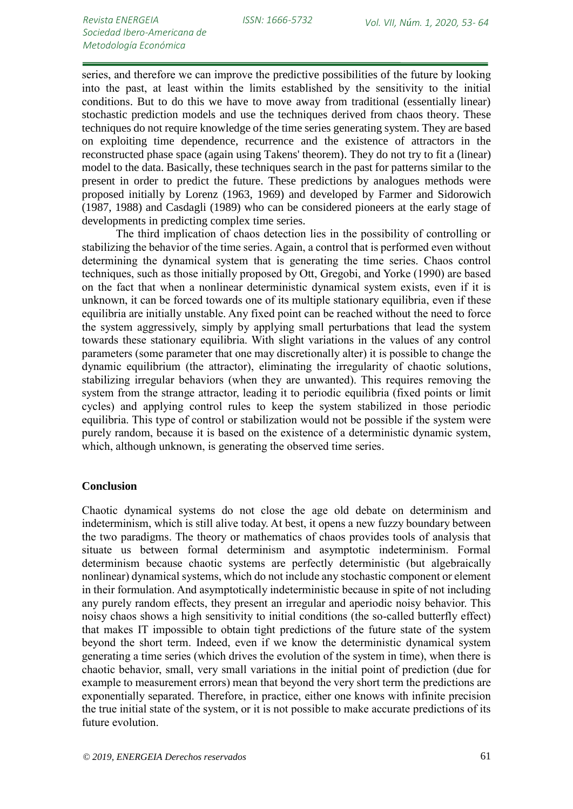series, and therefore we can improve the predictive possibilities of the future by looking into the past, at least within the limits established by the sensitivity to the initial conditions. But to do this we have to move away from traditional (essentially linear) stochastic prediction models and use the techniques derived from chaos theory. These techniques do not require knowledge of the time series generating system. They are based on exploiting time dependence, recurrence and the existence of attractors in the reconstructed phase space (again using Takens' theorem). They do not try to fit a (linear) model to the data. Basically, these techniques search in the past for patterns similar to the present in order to predict the future. These predictions by analogues methods were proposed initially by Lorenz (1963, 1969) and developed by Farmer and Sidorowich (1987, 1988) and Casdagli (1989) who can be considered pioneers at the early stage of developments in predicting complex time series.

The third implication of chaos detection lies in the possibility of controlling or stabilizing the behavior of the time series. Again, a control that is performed even without determining the dynamical system that is generating the time series. Chaos control techniques, such as those initially proposed by Ott, Gregobi, and Yorke (1990) are based on the fact that when a nonlinear deterministic dynamical system exists, even if it is unknown, it can be forced towards one of its multiple stationary equilibria, even if these equilibria are initially unstable. Any fixed point can be reached without the need to force the system aggressively, simply by applying small perturbations that lead the system towards these stationary equilibria. With slight variations in the values of any control parameters (some parameter that one may discretionally alter) it is possible to change the dynamic equilibrium (the attractor), eliminating the irregularity of chaotic solutions, stabilizing irregular behaviors (when they are unwanted). This requires removing the system from the strange attractor, leading it to periodic equilibria (fixed points or limit cycles) and applying control rules to keep the system stabilized in those periodic equilibria. This type of control or stabilization would not be possible if the system were purely random, because it is based on the existence of a deterministic dynamic system, which, although unknown, is generating the observed time series.

## **Conclusion**

Chaotic dynamical systems do not close the age old debate on determinism and indeterminism, which is still alive today. At best, it opens a new fuzzy boundary between the two paradigms. The theory or mathematics of chaos provides tools of analysis that situate us between formal determinism and asymptotic indeterminism. Formal determinism because chaotic systems are perfectly deterministic (but algebraically nonlinear) dynamical systems, which do not include any stochastic component or element in their formulation. And asymptotically indeterministic because in spite of not including any purely random effects, they present an irregular and aperiodic noisy behavior. This noisy chaos shows a high sensitivity to initial conditions (the so-called butterfly effect) that makes IT impossible to obtain tight predictions of the future state of the system beyond the short term. Indeed, even if we know the deterministic dynamical system generating a time series (which drives the evolution of the system in time), when there is chaotic behavior, small, very small variations in the initial point of prediction (due for example to measurement errors) mean that beyond the very short term the predictions are exponentially separated. Therefore, in practice, either one knows with infinite precision the true initial state of the system, or it is not possible to make accurate predictions of its future evolution.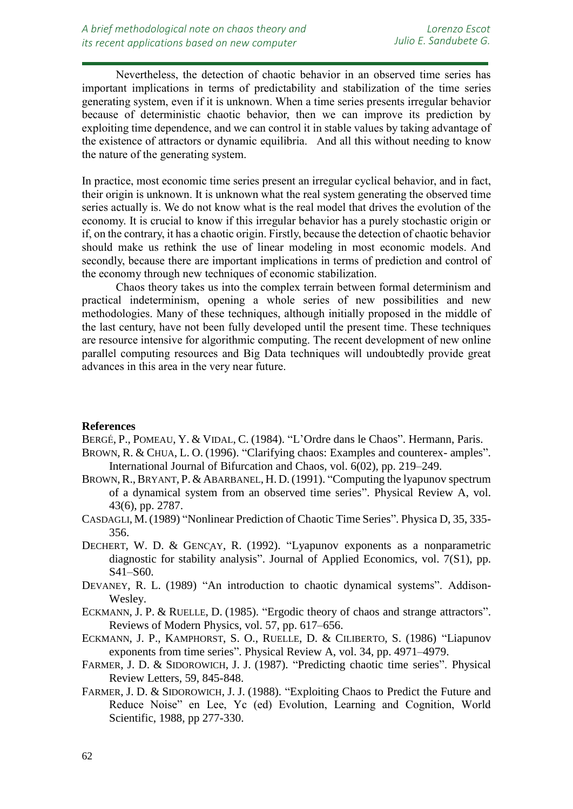Nevertheless, the detection of chaotic behavior in an observed time series has important implications in terms of predictability and stabilization of the time series generating system, even if it is unknown. When a time series presents irregular behavior because of deterministic chaotic behavior, then we can improve its prediction by exploiting time dependence, and we can control it in stable values by taking advantage of the existence of attractors or dynamic equilibria. And all this without needing to know the nature of the generating system.

In practice, most economic time series present an irregular cyclical behavior, and in fact, their origin is unknown. It is unknown what the real system generating the observed time series actually is. We do not know what is the real model that drives the evolution of the economy. It is crucial to know if this irregular behavior has a purely stochastic origin or if, on the contrary, it has a chaotic origin. Firstly, because the detection of chaotic behavior should make us rethink the use of linear modeling in most economic models. And secondly, because there are important implications in terms of prediction and control of the economy through new techniques of economic stabilization.

Chaos theory takes us into the complex terrain between formal determinism and practical indeterminism, opening a whole series of new possibilities and new methodologies. Many of these techniques, although initially proposed in the middle of the last century, have not been fully developed until the present time. These techniques are resource intensive for algorithmic computing. The recent development of new online parallel computing resources and Big Data techniques will undoubtedly provide great advances in this area in the very near future.

## **References**

*resources*

BERGÉ, P., POMEAU, Y. & VIDAL, C. (1984). "L'Ordre dans le Chaos". Hermann, Paris.

- BROWN, R. & CHUA, L. O. (1996). "Clarifying chaos: Examples and counterex- amples". International Journal of Bifurcation and Chaos, vol. 6(02), pp. 219–249.
- BROWN, R., BRYANT, P. & ABARBANEL, H. D. (1991). "Computing the lyapunov spectrum of a dynamical system from an observed time series". Physical Review A, vol. 43(6), pp. 2787.
- CASDAGLI, M.(1989) "Nonlinear Prediction of Chaotic Time Series". Physica D, 35, 335- 356.
- DECHERT, W. D. & GENCAY, R. (1992). "Lyapunov exponents as a nonparametric diagnostic for stability analysis". Journal of Applied Economics, vol. 7(S1), pp. S41–S60.
- DEVANEY, R. L. (1989) "An introduction to chaotic dynamical systems". Addison-Wesley.
- ECKMANN, J. P. & RUELLE, D. (1985). "Ergodic theory of chaos and strange attractors". Reviews of Modern Physics, vol. 57, pp. 617–656.
- ECKMANN, J. P., KAMPHORST, S. O., RUELLE, D. & CILIBERTO, S. (1986) "Liapunov exponents from time series". Physical Review A, vol. 34, pp. 4971–4979.
- FARMER, J. D. & SIDOROWICH, J. J. (1987). "Predicting chaotic time series". Physical Review Letters, 59, 845-848.
- FARMER, J. D. & SIDOROWICH, J. J. (1988). "Exploiting Chaos to Predict the Future and Reduce Noise" en Lee, Yc (ed) Evolution, Learning and Cognition, World Scientific, 1988, pp 277-330.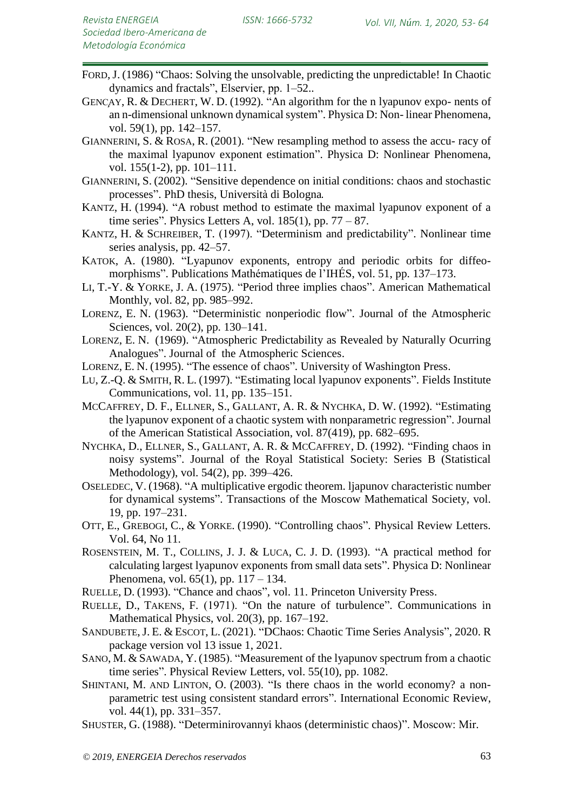- FORD,J. (1986) "Chaos: Solving the unsolvable, predicting the unpredictable! In Chaotic dynamics and fractals", Elservier, pp. 1–52..
- GENCAY, R. & DECHERT, W. D. (1992). "An algorithm for the n lyapunov expo- nents of an n-dimensional unknown dynamical system". Physica D: Non- linear Phenomena, vol. 59(1), pp. 142–157.
- GIANNERINI, S. & ROSA, R. (2001). "New resampling method to assess the accu- racy of the maximal lyapunov exponent estimation". Physica D: Nonlinear Phenomena, vol. 155(1-2), pp. 101–111.
- GIANNERINI, S. (2002). "Sensitive dependence on initial conditions: chaos and stochastic processes". PhD thesis, Università di Bologna.
- KANTZ, H. (1994). "A robust method to estimate the maximal lyapunov exponent of a time series". Physics Letters A, vol.  $185(1)$ , pp.  $77 - 87$ .
- KANTZ, H. & SCHREIBER, T. (1997). "Determinism and predictability". Nonlinear time series analysis, pp. 42–57.
- KATOK, A. (1980). "Lyapunov exponents, entropy and periodic orbits for diffeomorphisms". Publications Mathématiques de l'IHÉS, vol. 51, pp. 137–173.
- LI, T.-Y. & YORKE, J. A. (1975). "Period three implies chaos". American Mathematical Monthly, vol. 82, pp. 985–992.
- LORENZ, E. N. (1963). "Deterministic nonperiodic flow". Journal of the Atmospheric Sciences, vol. 20(2), pp. 130–141.
- LORENZ, E. N. (1969). "Atmospheric Predictability as Revealed by Naturally Ocurring Analogues". Journal of the Atmospheric Sciences.
- LORENZ, E. N. (1995). "The essence of chaos". University of Washington Press.
- LU, Z.-Q. & SMITH, R. L. (1997). "Estimating local lyapunov exponents". Fields Institute Communications, vol. 11, pp. 135–151.
- MCCAFFREY, D. F., ELLNER, S., GALLANT, A. R. & NYCHKA, D. W. (1992). "Estimating the lyapunov exponent of a chaotic system with nonparametric regression". Journal of the American Statistical Association, vol. 87(419), pp. 682–695.
- NYCHKA, D., ELLNER, S., GALLANT, A. R. & MCCAFFREY, D. (1992). "Finding chaos in noisy systems". Journal of the Royal Statistical Society: Series B (Statistical Methodology), vol. 54(2), pp. 399–426.
- OSELEDEC, V. (1968). "A multiplicative ergodic theorem. ljapunov characteristic number for dynamical systems". Transactions of the Moscow Mathematical Society, vol. 19, pp. 197–231.
- OTT, E., GREBOGI, C., & YORKE. (1990). "Controlling chaos". Physical Review Letters. Vol. 64, No 11.
- ROSENSTEIN, M. T., COLLINS, J. J. & LUCA, C. J. D. (1993). "A practical method for calculating largest lyapunov exponents from small data sets". Physica D: Nonlinear Phenomena, vol.  $65(1)$ , pp.  $117 - 134$ .
- RUELLE, D. (1993). "Chance and chaos", vol. 11. Princeton University Press.
- RUELLE, D., TAKENS, F. (1971). "On the nature of turbulence". Communications in Mathematical Physics, vol. 20(3), pp. 167–192.
- SANDUBETE,J. E. & ESCOT, L. (2021). "DChaos: Chaotic Time Series Analysis", 2020. R package version vol 13 issue 1, 2021.
- SANO, M. & SAWADA, Y. (1985). "Measurement of the lyapunov spectrum from a chaotic time series". Physical Review Letters, vol. 55(10), pp. 1082.
- SHINTANI, M. AND LINTON, O. (2003). "Is there chaos in the world economy? a nonparametric test using consistent standard errors". International Economic Review, vol. 44(1), pp. 331–357.
- SHUSTER, G. (1988). "Determinirovannyi khaos (deterministic chaos)". Moscow: Mir.